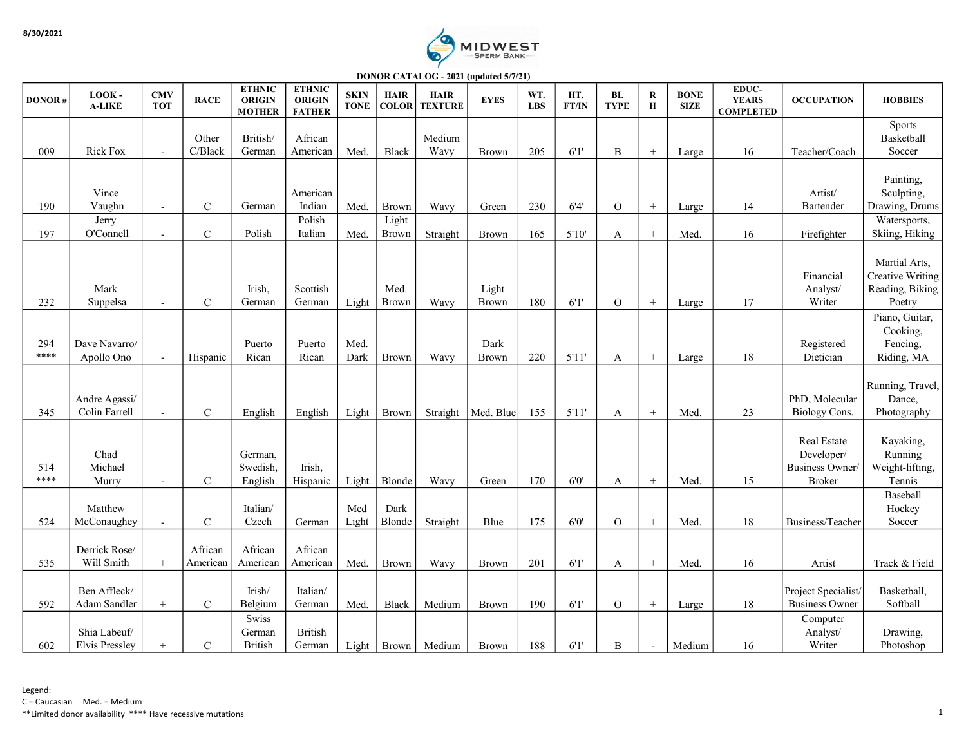

DONOR CATALOG - 2021 (updated 5/7/21)

| <b>DONOR#</b> | LOOK-<br><b>A-LIKE</b>                | <b>CMV</b><br><b>TOT</b>                   | <b>RACE</b>                | <b>ETHNIC</b><br><b>ORIGIN</b><br><b>MOTHER</b> | <b>ETHNIC</b><br><b>ORIGIN</b><br><b>FATHER</b> | <b>SKIN</b><br><b>TONE</b> | <b>HAIR</b><br><b>COLOR</b>           | <b>HAIR</b><br><b>TEXTURE</b> | <b>EYES</b>           | WT.<br><b>LBS</b> | HT.<br>FT/IN  | BL<br><b>TYPE</b>  | ${\bf R}$<br>$\mathbf H$ | <b>BONE</b><br><b>SIZE</b> | EDUC-<br><b>YEARS</b><br><b>COMPLETED</b> | <b>OCCUPATION</b>                                                   | <b>HOBBIES</b>                                                              |
|---------------|---------------------------------------|--------------------------------------------|----------------------------|-------------------------------------------------|-------------------------------------------------|----------------------------|---------------------------------------|-------------------------------|-----------------------|-------------------|---------------|--------------------|--------------------------|----------------------------|-------------------------------------------|---------------------------------------------------------------------|-----------------------------------------------------------------------------|
| 009           | <b>Rick Fox</b>                       | $\overline{a}$                             | Other<br>C/Black           | British/<br>German                              | African<br>American                             | Med.                       | Black                                 | Medium<br>Wavy                | Brown                 | 205               | 6'1'          | $\, {\bf B}$       | $\! +$                   | Large                      | 16                                        | Teacher/Coach                                                       | Sports<br>Basketball<br>Soccer                                              |
| 190<br>197    | Vince<br>Vaughn<br>Jerry<br>O'Connell | $\overline{\phantom{a}}$<br>$\overline{a}$ | $\mathbf C$<br>$\mathbf C$ | German<br>Polish                                | American<br>Indian<br>Polish<br>Italian         | Med.<br>Med.               | <b>Brown</b><br>Light<br><b>Brown</b> | Wavy<br>Straight              | Green<br><b>Brown</b> | 230<br>165        | 6'4'<br>5'10' | $\mathcal{O}$<br>A | $+$<br>$^{+}$            | Large<br>Med.              | 14<br>16                                  | Artist/<br>Bartender<br>Firefighter                                 | Painting,<br>Sculpting,<br>Drawing, Drums<br>Watersports,<br>Skiing, Hiking |
| 232           | Mark<br>Suppelsa                      | $\overline{\phantom{a}}$                   | $\mathcal{C}$              | Irish,<br>German                                | Scottish<br>German                              | Light                      | Med.<br>Brown                         | Wavy                          | Light<br>Brown        | 180               | 6'1'          | $\overline{O}$     | $^{+}$                   | Large                      | 17                                        | Financial<br>Analyst/<br>Writer                                     | Martial Arts,<br><b>Creative Writing</b><br>Reading, Biking<br>Poetry       |
| 294<br>****   | Dave Navarro/<br>Apollo Ono           | $\overline{a}$                             | Hispanic                   | Puerto<br>Rican                                 | Puerto<br>Rican                                 | Med.<br>Dark               | Brown                                 | Wavy                          | Dark<br>Brown         | 220               | 5'11'         | A                  | $\! +$                   | Large                      | $18\,$                                    | Registered<br>Dietician                                             | Piano, Guitar,<br>Cooking,<br>Fencing,<br>Riding, MA                        |
| 345           | Andre Agassi/<br>Colin Farrell        | $\blacksquare$                             | $\mathbf C$                | English                                         | English                                         | Light                      | <b>Brown</b>                          | Straight                      | Med. Blue             | 155               | 5'11'         | A                  | $+$                      | Med.                       | 23                                        | PhD, Molecular<br><b>Biology Cons.</b>                              | Running, Travel,<br>Dance,<br>Photography                                   |
| 514<br>****   | Chad<br>Michael<br>Murry              | $\blacksquare$                             | $\mathbf C$                | German,<br>Swedish,<br>English                  | Irish,<br>Hispanic                              | Light                      | Blonde                                | Wavy                          | Green                 | 170               | 6'0'          | A                  | $^{+}$                   | Med.                       | 15                                        | Real Estate<br>Developer/<br><b>Business Owner</b><br><b>Broker</b> | Kayaking,<br>Running<br>Weight-lifting,<br>Tennis                           |
| 524           | Matthew<br>McConaughey                | $\overline{\phantom{a}}$                   | $\mathcal{C}$              | Italian/<br>Czech                               | German                                          | Med<br>Light               | Dark<br>Blonde                        | Straight                      | Blue                  | 175               | 6'0'          | $\overline{O}$     | $^{+}$                   | Med.                       | 18                                        | Business/Teacher                                                    | Baseball<br>Hockey<br>Soccer                                                |
| 535           | Derrick Rose/<br>Will Smith           | $+$                                        | African<br>American        | African<br>American                             | African<br>American                             | Med.                       | Brown                                 | Wavy                          | <b>Brown</b>          | 201               | 6'1'          | A                  | $^{+}$                   | Med.                       | 16                                        | Artist                                                              | Track & Field                                                               |
| 592           | Ben Affleck/<br>Adam Sandler          | $\! +$                                     | $\mathbf C$                | Irish/<br>Belgium                               | Italian/<br>German                              | Med.                       | Black                                 | Medium                        | Brown                 | 190               | 6'1'          | $\mathcal{O}$      | $\! +$                   | Large                      | 18                                        | Project Specialist<br><b>Business Owner</b>                         | Basketball,<br>Softball                                                     |
| 602           | Shia Labeuf/<br><b>Elvis Pressley</b> | $+$                                        | $\mathcal{C}$              | Swiss<br>German<br><b>British</b>               | <b>British</b><br>German                        | Light                      | Brown                                 | Medium                        | <b>Brown</b>          | 188               | 6'1'          | B                  | $\overline{a}$           | Medium                     | 16                                        | Computer<br>Analyst/<br>Writer                                      | Drawing,<br>Photoshop                                                       |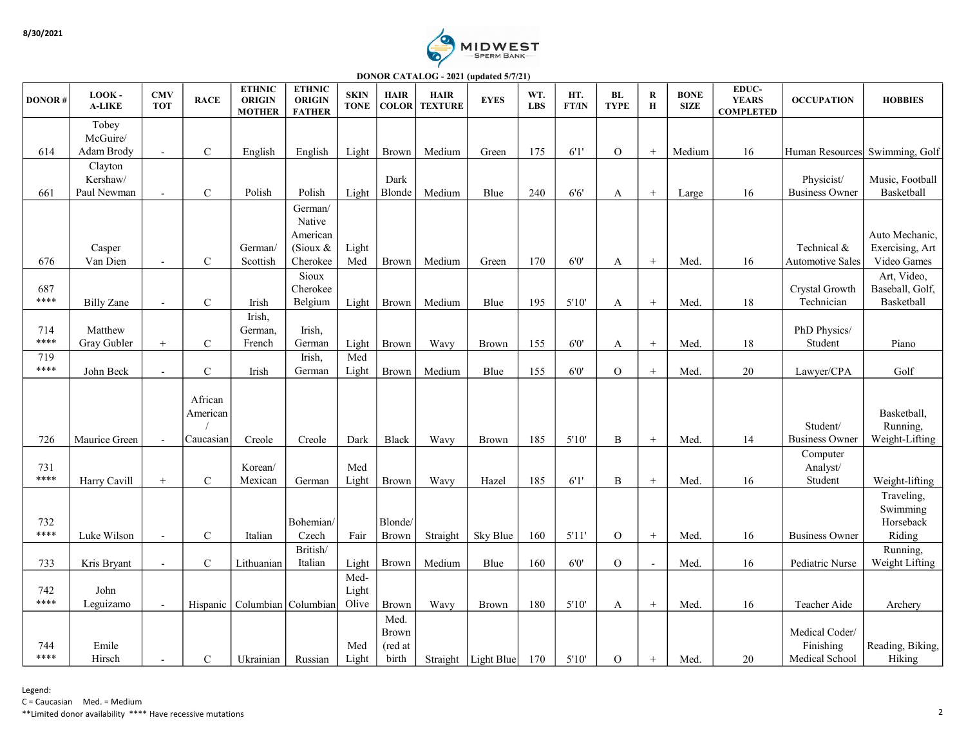

DONOR CATALOG - 2021 (updated 5/7/21)

| <b>DONOR#</b> | LOOK-<br><b>A-LIKE</b> | <b>CMV</b><br><b>TOT</b> | <b>RACE</b>         | <b>ETHNIC</b><br><b>ORIGIN</b><br><b>MOTHER</b> | <b>ETHNIC</b><br><b>ORIGIN</b><br><b>FATHER</b> | <b>SKIN</b><br><b>TONE</b> | <b>HAIR</b><br><b>COLOR</b>      | <b>HAIR</b><br><b>TEXTURE</b> | <b>EYES</b>           | WT.<br><b>LBS</b> | HT.<br>FT/IN | BL<br><b>TYPE</b> | R<br>$\bf H$     | <b>BONE</b><br><b>SIZE</b> | EDUC-<br><b>YEARS</b><br><b>COMPLETED</b> | <b>OCCUPATION</b>                             | <b>HOBBIES</b>                    |
|---------------|------------------------|--------------------------|---------------------|-------------------------------------------------|-------------------------------------------------|----------------------------|----------------------------------|-------------------------------|-----------------------|-------------------|--------------|-------------------|------------------|----------------------------|-------------------------------------------|-----------------------------------------------|-----------------------------------|
|               | Tobey                  |                          |                     |                                                 |                                                 |                            |                                  |                               |                       |                   |              |                   |                  |                            |                                           |                                               |                                   |
|               | McGuire/               |                          |                     |                                                 |                                                 |                            |                                  |                               |                       |                   |              |                   |                  |                            |                                           |                                               |                                   |
| 614           | Adam Brody<br>Clayton  | $\sim$                   | $\mathbf C$         | English                                         | English                                         | Light                      | <b>Brown</b>                     | Medium                        | Green                 | 175               | 6'1'         | $\overline{O}$    | $^{+}$           | Medium                     | 16                                        | Human Resources Swimming, Golf                |                                   |
|               | Kershaw/               |                          |                     |                                                 |                                                 |                            | Dark                             |                               |                       |                   |              |                   |                  |                            |                                           | Physicist/                                    | Music, Football                   |
| 661           | Paul Newman            | $\blacksquare$           | $\mathbf C$         | Polish                                          | Polish                                          | Light                      | Blonde                           | Medium                        | Blue                  | 240               | $6'6'$       | A                 | $\! + \!\!\!\!$  | Large                      | 16                                        | <b>Business Owner</b>                         | Basketball                        |
|               |                        |                          |                     |                                                 | German/                                         |                            |                                  |                               |                       |                   |              |                   |                  |                            |                                           |                                               |                                   |
|               |                        |                          |                     |                                                 | Native                                          |                            |                                  |                               |                       |                   |              |                   |                  |                            |                                           |                                               |                                   |
|               | Casper                 |                          |                     | German/                                         | American<br>(Sioux $&$                          | Light                      |                                  |                               |                       |                   |              |                   |                  |                            |                                           | Technical &                                   | Auto Mechanic,<br>Exercising, Art |
| 676           | Van Dien               | $\overline{a}$           | $\mathbf C$         | Scottish                                        | Cherokee                                        | Med                        | Brown                            | Medium                        | Green                 | 170               | $6'0'$       | A                 | $\! +$           | Med.                       | 16                                        | Automotive Sales                              | Video Games                       |
|               |                        |                          |                     |                                                 | Sioux                                           |                            |                                  |                               |                       |                   |              |                   |                  |                            |                                           |                                               | Art, Video,                       |
| 687           |                        |                          |                     |                                                 | Cherokee                                        |                            |                                  |                               |                       |                   |              |                   |                  |                            |                                           | Crystal Growth                                | Baseball, Golf,                   |
| ****          | <b>Billy Zane</b>      | $\mathbf{r}$             | $\mathbf C$         | Irish                                           | Belgium                                         | Light                      | Brown                            | Medium                        | Blue                  | 195               | 5'10'        | A                 |                  | Med.                       | 18                                        | Technician                                    | Basketball                        |
|               |                        |                          |                     | Irish,                                          |                                                 |                            |                                  |                               |                       |                   |              |                   |                  |                            |                                           |                                               |                                   |
| 714<br>****   | Matthew<br>Gray Gubler | $^{+}$                   | $\mathbf C$         | German,<br>French                               | Irish,<br>German                                | Light                      | <b>Brown</b>                     | Wavy                          | <b>Brown</b>          | 155               | 6'0'         | A                 | $^{+}$           | Med.                       | 18                                        | PhD Physics/<br>Student                       | Piano                             |
| 719           |                        |                          |                     |                                                 | Irish,                                          | Med                        |                                  |                               |                       |                   |              |                   |                  |                            |                                           |                                               |                                   |
| ****          | John Beck              | $\blacksquare$           | $\mathbf C$         | Irish                                           | German                                          | Light                      | <b>Brown</b>                     | Medium                        | Blue                  | 155               | $6'0'$       | $\overline{O}$    | $+$              | Med.                       | 20                                        | Lawyer/CPA                                    | Golf                              |
|               |                        |                          | African<br>American |                                                 |                                                 |                            |                                  |                               |                       |                   |              |                   |                  |                            |                                           | Student/                                      | Basketball,<br>Running,           |
| 726           | Maurice Green          | $\sim$                   | Caucasian           | Creole                                          | Creole                                          | Dark                       | Black                            | Wavy                          | <b>Brown</b>          | 185               | 5'10'        | B                 | $^{+}$           | Med.                       | 14                                        | <b>Business Owner</b><br>Computer             | Weight-Lifting                    |
| 731           |                        |                          |                     | Korean/                                         |                                                 | Med                        |                                  |                               |                       |                   |              |                   |                  |                            |                                           | Analyst/                                      |                                   |
| ****          | Harry Cavill           | $^+$                     | $\mathbf C$         | Mexican                                         | German                                          | Light                      | Brown                            | Wavy                          | Hazel                 | 185               | 6'1'         | B                 | $+$              | Med.                       | 16                                        | Student                                       | Weight-lifting                    |
|               |                        |                          |                     |                                                 |                                                 |                            |                                  |                               |                       |                   |              |                   |                  |                            |                                           |                                               | Traveling,                        |
| 732           |                        |                          |                     |                                                 | Bohemian/                                       |                            | Blonde/                          |                               |                       |                   |              |                   |                  |                            |                                           |                                               | Swimming<br>Horseback             |
| ****          | Luke Wilson            | $\overline{\phantom{a}}$ | $\mathbf C$         | Italian                                         | Czech                                           | Fair                       | <b>Brown</b>                     | Straight                      | Sky Blue              | 160               | 5'11'        | $\overline{O}$    | $\boldsymbol{+}$ | Med.                       | 16                                        | <b>Business Owner</b>                         | Riding                            |
|               |                        |                          |                     |                                                 | British/                                        |                            |                                  |                               |                       |                   |              |                   |                  |                            |                                           |                                               | Running,                          |
| 733           | Kris Bryant            | $\blacksquare$           | $\mathbf C$         | Lithuanian                                      | Italian                                         | Light                      | <b>Brown</b>                     | Medium                        | Blue                  | 160               | $6'0'$       | $\mathcal O$      | $\sim$           | Med.                       | 16                                        | Pediatric Nurse                               | Weight Lifting                    |
|               |                        |                          |                     |                                                 |                                                 | Med-                       |                                  |                               |                       |                   |              |                   |                  |                            |                                           |                                               |                                   |
| 742<br>****   | John                   |                          |                     | Hispanic   Columbian   Columbian                |                                                 | Light<br>Olive             |                                  |                               | <b>Brown</b>          | 180               | 5'10'        |                   | $\, +$           | Med.                       | 16                                        | Teacher Aide                                  |                                   |
|               | Leguizamo              | $\overline{\phantom{a}}$ |                     |                                                 |                                                 |                            | <b>Brown</b><br>Med.             | Wavy                          |                       |                   |              | A                 |                  |                            |                                           |                                               | Archery                           |
| 744<br>****   | Emile<br>Hirsch        | $\overline{\phantom{a}}$ | $\mathbf C$         | Ukrainian                                       | Russian                                         | Med<br>Light               | <b>Brown</b><br>(red at<br>birth |                               | Straight   Light Blue | 170               | 5'10'        | $\mathcal{O}$     | $\! + \!\!\!\!$  | Med.                       | 20                                        | Medical Coder/<br>Finishing<br>Medical School | Reading, Biking,<br>Hiking        |